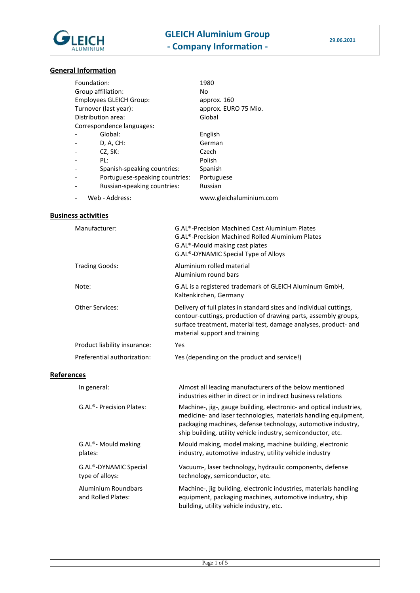

# **General Information**

| Foundation:                    |                                | 1980                    |  |  |
|--------------------------------|--------------------------------|-------------------------|--|--|
| Group affiliation:             |                                | No                      |  |  |
| <b>Employees GLEICH Group:</b> |                                | approx. 160             |  |  |
| Turnover (last year):          |                                | approx. EURO 75 Mio.    |  |  |
| Distribution area:             |                                | Global                  |  |  |
| Correspondence languages:      |                                |                         |  |  |
|                                | Global:                        | English                 |  |  |
|                                | D, A, CH:                      | German                  |  |  |
|                                | CZ, SK:                        | Czech                   |  |  |
|                                | PL:                            | Polish                  |  |  |
|                                | Spanish-speaking countries:    | Spanish                 |  |  |
|                                | Portuguese-speaking countries: | Portuguese              |  |  |
|                                | Russian-speaking countries:    | Russian                 |  |  |
|                                | Web - Address:                 | www.gleichaluminium.com |  |  |

# **Business activities**

| Manufacturer:                             | G.AL <sup>®</sup> -Precision Machined Cast Aluminium Plates<br>G.AL <sup>®</sup> -Precision Machined Rolled Aluminium Plates<br>G.AL <sup>®</sup> -Mould making cast plates<br>G.AL®-DYNAMIC Special Type of Alloys                                                    |
|-------------------------------------------|------------------------------------------------------------------------------------------------------------------------------------------------------------------------------------------------------------------------------------------------------------------------|
| <b>Trading Goods:</b>                     | Aluminium rolled material<br>Aluminium round bars                                                                                                                                                                                                                      |
| Note:                                     | G.AL is a registered trademark of GLEICH Aluminum GmbH,<br>Kaltenkirchen, Germany                                                                                                                                                                                      |
| <b>Other Services:</b>                    | Delivery of full plates in standard sizes and individual cuttings,<br>contour-cuttings, production of drawing parts, assembly groups,<br>surface treatment, material test, damage analyses, product- and<br>material support and training                              |
| Product liability insurance:              | Yes                                                                                                                                                                                                                                                                    |
| Preferential authorization:               | Yes (depending on the product and service!)                                                                                                                                                                                                                            |
| <b>References</b>                         |                                                                                                                                                                                                                                                                        |
| In general:                               | Almost all leading manufacturers of the below mentioned<br>industries either in direct or in indirect business relations                                                                                                                                               |
| G.AL®- Precision Plates:                  | Machine-, jig-, gauge building, electronic- and optical industries,<br>medicine- and laser technologies, materials handling equipment,<br>packaging machines, defense technology, automotive industry,<br>ship building, utility vehicle industry, semiconductor, etc. |
| G.AL®- Mould making<br>plates:            | Mould making, model making, machine building, electronic<br>industry, automotive industry, utility vehicle industry                                                                                                                                                    |
| G.AL®-DYNAMIC Special<br>type of alloys:  | Vacuum-, laser technology, hydraulic components, defense<br>technology, semiconductor, etc.                                                                                                                                                                            |
| Aluminium Roundbars<br>and Rolled Plates: | Machine-, jig building, electronic industries, materials handling<br>equipment, packaging machines, automotive industry, ship<br>building, utility vehicle industry, etc.                                                                                              |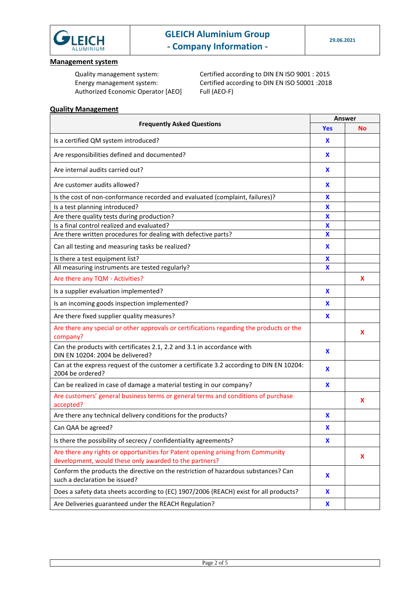

### **Management system**

Authorized Economic Operator [AEO] Full (AEO-F)

Quality management system: Certified according to DIN EN ISO 9001 : 2015 Energy management system: Certified according to DIN EN ISO 50001 :2018

## **Quality Management**

| <b>Frequently Asked Questions</b>                                                                                                         |                           | <b>Answer</b> |  |
|-------------------------------------------------------------------------------------------------------------------------------------------|---------------------------|---------------|--|
|                                                                                                                                           |                           | No            |  |
| Is a certified QM system introduced?                                                                                                      | X                         |               |  |
| Are responsibilities defined and documented?                                                                                              | X                         |               |  |
| Are internal audits carried out?                                                                                                          | X                         |               |  |
| Are customer audits allowed?                                                                                                              | X                         |               |  |
| Is the cost of non-conformance recorded and evaluated (complaint, failures)?                                                              | x                         |               |  |
| Is a test planning introduced?                                                                                                            | X                         |               |  |
| Are there quality tests during production?                                                                                                | x                         |               |  |
| Is a final control realized and evaluated?                                                                                                | $\boldsymbol{\mathsf{X}}$ |               |  |
| Are there written procedures for dealing with defective parts?                                                                            | $\boldsymbol{\mathsf{X}}$ |               |  |
| Can all testing and measuring tasks be realized?                                                                                          | X                         |               |  |
| Is there a test equipment list?                                                                                                           | x                         |               |  |
| All measuring instruments are tested regularly?                                                                                           | X                         |               |  |
| Are there any TQM - Activities?                                                                                                           |                           | X             |  |
| Is a supplier evaluation implemented?                                                                                                     | X                         |               |  |
| Is an incoming goods inspection implemented?                                                                                              | x                         |               |  |
| Are there fixed supplier quality measures?                                                                                                | x                         |               |  |
| Are there any special or other approvals or certifications regarding the products or the                                                  |                           | X             |  |
| company?                                                                                                                                  |                           |               |  |
| Can the products with certificates 2.1, 2.2 and 3.1 in accordance with<br>DIN EN 10204: 2004 be delivered?                                | X                         |               |  |
| Can at the express request of the customer a certificate 3.2 according to DIN EN 10204:<br>2004 be ordered?                               | X                         |               |  |
| Can be realized in case of damage a material testing in our company?                                                                      | X                         |               |  |
| Are customers' general business terms or general terms and conditions of purchase<br>accepted?                                            |                           | X             |  |
| Are there any technical delivery conditions for the products?                                                                             | $\mathbf x$               |               |  |
| Can QAA be agreed?                                                                                                                        | X                         |               |  |
| Is there the possibility of secrecy / confidentiality agreements?                                                                         | X                         |               |  |
| Are there any rights or opportunities for Patent opening arising from Community<br>development, would these only awarded to the partners? |                           | X             |  |
| Conform the products the directive on the restriction of hazardous substances? Can<br>such a declaration be issued?                       | X                         |               |  |
| Does a safety data sheets according to (EC) 1907/2006 (REACH) exist for all products?                                                     | X                         |               |  |
| Are Deliveries guaranteed under the REACH Regulation?                                                                                     | X                         |               |  |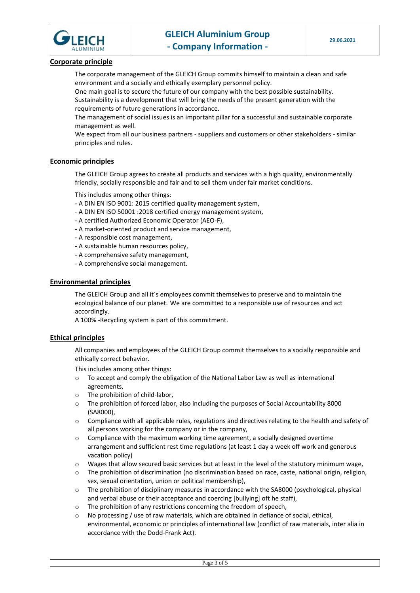

### **Corporate principle**

The corporate management of the GLEICH Group commits himself to maintain a clean and safe environment and a socially and ethically exemplary personnel policy.

One main goal is to secure the future of our company with the best possible sustainability. Sustainability is a development that will bring the needs of the present generation with the requirements of future generations in accordance.

The management of social issues is an important pillar for a successful and sustainable corporate management as well.

We expect from all our business partners - suppliers and customers or other stakeholders - similar principles and rules.

#### **Economic principles**

The GLEICH Group agrees to create all products and services with a high quality, environmentally friendly, socially responsible and fair and to sell them under fair market conditions.

This includes among other things:

- A DIN EN ISO 9001: 2015 certified quality management system,
- A DIN EN ISO 50001 :2018 certified energy management system,
- A certified Authorized Economic Operator (AEO-F),
- A market-oriented product and service management,
- A responsible cost management,
- A sustainable human resources policy,
- A comprehensive safety management,
- A comprehensive social management.

#### **Environmental principles**

The GLEICH Group and all it´s employees commit themselves to preserve and to maintain the ecological balance of our planet. We are committed to a responsible use of resources and act accordingly.

A 100% -Recycling system is part of this commitment.

### **Ethical principles**

All companies and employees of the GLEICH Group commit themselves to a socially responsible and ethically correct behavior.

This includes among other things:

- o To accept and comply the obligation of the National Labor Law as well as international agreements,
- o The prohibition of child-labor,
- o The prohibition of forced labor, also including the purposes of Social Accountability 8000 (SA8000),
- $\circ$  Compliance with all applicable rules, regulations and directives relating to the health and safety of all persons working for the company or in the company,
- $\circ$  Compliance with the maximum working time agreement, a socially designed overtime arrangement and sufficient rest time regulations (at least 1 day a week off work and generous vacation policy)
- o Wages that allow secured basic services but at least in the level of the statutory minimum wage,
- o The prohibition of discrimination (no discrimination based on race, caste, national origin, religion, sex, sexual orientation, union or political membership),
- $\circ$  The prohibition of disciplinary measures in accordance with the SA8000 (psychological, physical and verbal abuse or their acceptance and coercing [bullying] oft he staff),
- o The prohibition of any restrictions concerning the freedom of speech,
- o No processing / use of raw materials, which are obtained in defiance of social, ethical, environmental, economic or principles of international law (conflict of raw materials, inter alia in accordance with the Dodd-Frank Act).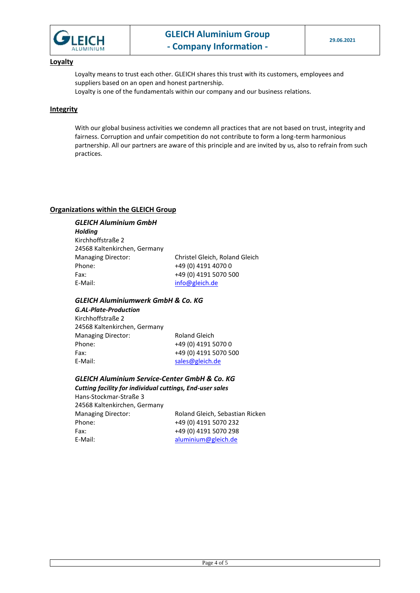

#### **Loyalty**

Loyalty means to trust each other. GLEICH shares this trust with its customers, employees and suppliers based on an open and honest partnership.

Loyalty is one of the fundamentals within our company and our business relations.

### **Integrity**

With our global business activities we condemn all practices that are not based on trust, integrity and fairness. Corruption and unfair competition do not contribute to form a long-term harmonious partnership. All our partners are aware of this principle and are invited by us, also to refrain from such practices.

### **Organizations within the GLEICH Group**

### *GLEICH Aluminium GmbH*

*Holding* Kirchhoffstraße 2 24568 Kaltenkirchen, Germany Managing Director: Christel Gleich, Roland Gleich Phone: +49 (0) 4191 4070 0 Fax: +49 (0) 4191 5070 500 E-Mail: [info@gleich.de](mailto:info@gleich.de)

### *GLEICH Aluminiumwerk GmbH & Co. KG*

*G.AL-Plate-Production* Kirchhoffstraße 2 24568 Kaltenkirchen, Germany Managing Director: Roland Gleich Phone: +49 (0) 4191 5070 0 Fax: +49 (0) 4191 5070 500 E-Mail: [sales@gleich.de](mailto:sales@gleich.de)

*GLEICH Aluminium Service-Center GmbH & Co. KG*

*Cutting facility for individual cuttings, End-user sales* Hans-Stockmar-Straße 3 24568 Kaltenkirchen, Germany Managing Director: Roland Gleich, Sebastian Ricken Phone: +49 (0) 4191 5070 232 Fax: +49 (0) 4191 5070 298 E-Mail: [aluminium@gleich.de](mailto:aluminium@gleich.de)